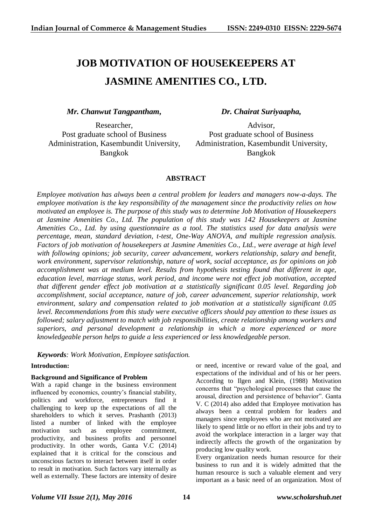# **JOB MOTIVATION OF HOUSEKEEPERS AT JASMINE AMENITIES CO., LTD.**

*Mr. Chanwut Tangpantham,*

*Dr. Chairat Suriyaapha,*

Researcher, Post graduate school of Business Administration, Kasembundit University, Bangkok

Advisor, Post graduate school of Business Administration, Kasembundit University, Bangkok

# **ABSTRACT**

*Employee motivation has always been a central problem for leaders and managers now-a-days. The employee motivation is the key responsibility of the management since the productivity relies on how motivated an employee is. The purpose of this study was to determine Job Motivation of Housekeepers at Jasmine Amenities Co., Ltd. The population of this study was 142 Housekeepers at Jasmine Amenities Co., Ltd. by using questionnaire as a tool. The statistics used for data analysis were percentage, mean, standard deviation, t-test, One-Way ANOVA, and multiple regression analysis. Factors of job motivation of housekeepers at Jasmine Amenities Co., Ltd., were average at high level with following opinions; job security, career advancement, workers relationship, salary and benefit, work environment, supervisor relationship, nature of work, social acceptance, as for opinions on job accomplishment was at medium level. Results from hypothesis testing found that different in age, education level, marriage status, work period, and income were not effect job motivation, accepted that different gender effect job motivation at a statistically significant 0.05 level. Regarding job accomplishment, social acceptance, nature of job, career advancement, superior relationship, work environment, salary and compensation related to job motivation at a statistically significant 0.05 level. Recommendations from this study were executive officers should pay attention to these issues as followed; salary adjustment to match with job responsibilities, create relationship among workers and superiors, and personal development a relationship in which a more experienced or more knowledgeable person helps to guide a less experienced or less knowledgeable person.*

*Keywords: Work Motivation, Employee satisfaction.*

# **Introduction:**

# **Background and Significance of Problem**

With a rapid change in the business environment influenced by economics, country's financial stability, politics and workforce, entrepreneurs find it challenging to keep up the expectations of all the shareholders to which it serves. Prashanth (2013) listed a number of linked with the employee motivation such as employee commitment, productivity, and business profits and personnel productivity. In other words, Ganta V.C (2014) explained that it is critical for the conscious and unconscious factors to interact between itself in order to result in motivation. Such factors vary internally as well as externally. These factors are intensity of desire

or need, incentive or reward value of the goal, and expectations of the individual and of his or her peers. According to Ilgen and Klein, (1988) Motivation concerns that "psychological processes that cause the arousal, direction and persistence of behavior". Ganta V. C (2014) also added that Employee motivation has always been a central problem for leaders and managers since employees who are not motivated are likely to spend little or no effort in their jobs and try to avoid the workplace interaction in a larger way that indirectly affects the growth of the organization by producing low quality work.

Every organization needs human resource for their business to run and it is widely admitted that the human resource is such a valuable element and very important as a basic need of an organization. Most of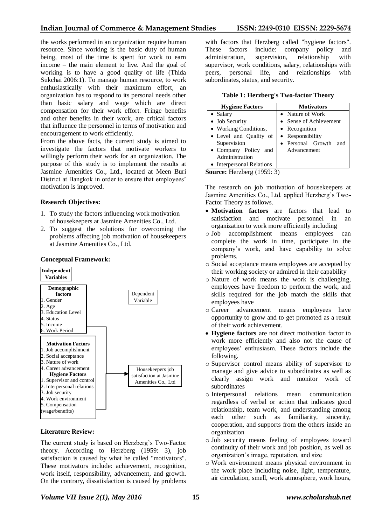# **Indian Journal of Commerce & Management Studies ISSN: 2249-0310 EISSN: 2229-5674**

the works performed in an organization require human resource. Since working is the basic duty of human being, most of the time is spent for work to earn income – the main element to live. And the goal of working is to have a good quality of life (Thida Sukchai 2006:1). To manage human resource, to work enthusiastically with their maximum effort, an organization has to respond to its personal needs other than basic salary and wage which are direct compensation for their work effort. Fringe benefits and other benefits in their work, are critical factors that influence the personnel in terms of motivation and encouragement to work efficiently.

From the above facts, the current study is aimed to investigate the factors that motivate workers to willingly perform their work for an organization. The purpose of this study is to implement the results at Jasmine Amenities Co., Ltd., located at Meen Buri District at Bangkok in order to ensure that employees' motivation is improved.

#### **Research Objectives:**

**Conceptual Framework:**

- 1. To study the factors influencing work motivation of housekeepers at Jasmine Amenities Co., Ltd.
- 2. To suggest the solutions for overcoming the problems affecting job motivation of housekeepers at Jasmine Amenities Co., Ltd.

#### **Demographic factors** 1. Gender 2. Age 3. Education Level 4. Status 5. Income 6. Work Period **Motivation Factors** 1. Job accomplishment 2. Social acceptance 3. Nature of work 4. Career advancement **Hygiene Factors** 1. Supervisor and control 2. Interpersonal relations 3. Job security 4. Work environment 5. Compensation (wage/benefits) Housekeepers job satisfaction at Jasmine Amenities Co., Ltd **Independent Variables** Dependent Variable

#### **Literature Review:**

The current study is based on Herzberg's Two-Factor theory. According to Herzberg (1959: 3), job satisfaction is caused by what he called "motivators". These motivators include: achievement, recognition, work itself, responsibility, advancement, and growth. On the contrary, dissatisfaction is caused by problems with factors that Herzberg called "hygiene factors". These factors include: company policy and administration, supervision, relationship with supervisor, work conditions, salary, relationships with peers, personal life, and relationships with subordinates, status, and security.

**Table 1: Herzberg's Two-factor Theory**

| <b>Hygiene Factors</b>                                                                                                                                | Motivators               |  |  |  |  |
|-------------------------------------------------------------------------------------------------------------------------------------------------------|--------------------------|--|--|--|--|
| • Salary                                                                                                                                              | • Nature of Work         |  |  |  |  |
| • Job Security                                                                                                                                        | • Sense of Achievement   |  |  |  |  |
| • Working Conditions,                                                                                                                                 | • Recognition            |  |  |  |  |
| • Level and Quality of                                                                                                                                | • Responsibility         |  |  |  |  |
| Supervision                                                                                                                                           | • Personal Growth<br>and |  |  |  |  |
| • Company Policy<br>and                                                                                                                               | Advancement              |  |  |  |  |
| Administration                                                                                                                                        |                          |  |  |  |  |
| • Interpersonal Relations                                                                                                                             |                          |  |  |  |  |
| $\mathbf{S}_{\mathbf{OUPO}}$ $\mathbf{H}_{\mathbf{O}}$ $\mathbf{H}_{\mathbf{O}}$ $\mathbf{H}_{\mathbf{O}}$ $\mathbf{H}_{\mathbf{O}}$ (1050 $\cdot$ 3) |                          |  |  |  |  |

**Source:** Herzberg (1959: 3)

The research on job motivation of housekeepers at Jasmine Amenities Co., Ltd. applied Herzberg's Two-Factor Theory as follows.

- **Motivation factors** are factors that lead to satisfaction and motivate personnel in an organization to work more efficiently including
- o Job accomplishment means employees can complete the work in time, participate in the company's work, and have capability to solve problems.
- o Social acceptance means employees are accepted by their working society or admired in their capability
- o Nature of work means the work is challenging, employees have freedom to perform the work, and skills required for the job match the skills that employees have
- o Career advancement means employees have opportunity to grow and to get promoted as a result of their work achievement.
- **Hygiene factors** are not direct motivation factor to work more efficiently and also not the cause of employees' enthusiasm. These factors include the following.
- o Supervisor control means ability of supervisor to manage and give advice to subordinates as well as clearly assign work and monitor work of subordinates
- o Interpersonal relations mean communication regardless of verbal or action that indicates good relationship, team work, and understanding among each other such as familiarity, sincerity, cooperation, and supports from the others inside an organization
- o Job security means feeling of employees toward continuity of their work and job position, as well as organization's image, reputation, and size
- o Work environment means physical environment in the work place including noise, light, temperature, air circulation, smell, work atmosphere, work hours,

# *Volume VII Issue 2(1), May 2016* **15** *www.scholarshub.net*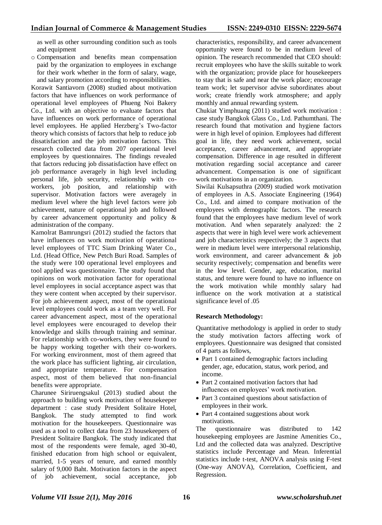as well as other surrounding condition such as tools and equipment

o Compensation and benefits mean compensation paid by the organization to employees in exchange for their work whether in the form of salary, wage, and salary promotion according to responsibilities.

Korawit Santiavorn (2008) studied about motivation factors that have influences on work performance of operational level employees of Phueng Noi Bakery Co., Ltd. with an objective to evaluate factors that have influences on work performance of operational level employees. He applied Herzberg's Two-factor theory which consists of factors that help to reduce job dissatisfaction and the job motivation factors. This research collected data from 207 operational level employees by questionnaires. The findings revealed that factors reducing job dissatisfaction have effect on job performance averagely in high level including personal life, job security, relationship with coworkers, job position, and relationship with supervisor. Motivation factors were averagely in medium level where the high level factors were job achievement, nature of operational job and followed by career advancement opportunity and policy & administration of the company.

Kamolrat Bamrungsri (2012) studied the factors that have influences on work motivation of operational level employees of TTC Siam Drinking Water Co., Ltd. (Head Office, New Petch Buri Road. Samples of the study were 100 operational level employees and tool applied was questionnaire. The study found that opinions on work motivation factor for operational level employees in social acceptance aspect was that they were content when accepted by their supervisor. For job achievement aspect, most of the operational level employees could work as a team very well. For career advancement aspect, most of the operational level employees were encouraged to develop their knowledge and skills through training and seminar. For relationship with co-workers, they were found to be happy working together with their co-workers. For working environment, most of them agreed that the work place has sufficient lighting, air circulation, and appropriate temperature. For compensation aspect, most of them believed that non-financial benefits were appropriate.

Charunee Siriruengsakul (2013) studied about the approach to building work motivation of housekeeper department : case study President Solitaire Hotel, Bangkok. The study attempted to find work motivation for the housekeepers. Questionnaire was used as a tool to collect data from 23 housekeepers of President Solitaire Bangkok. The study indicated that most of the respondents were female, aged 30-40, finished education from high school or equivalent, married, 1-5 years of tenure, and earned monthly salary of 9,000 Baht. Motivation factors in the aspect of job achievement, social acceptance, job

characteristics, responsibility, and career advancement opportunity were found to be in medium level of opinion. The research recommended that CEO should: recruit employees who have the skills suitable to work with the organization; provide place for housekeepers to stay that is safe and near the work place; encourage team work; let supervisor advise subordinates about work; create friendly work atmosphere; and apply monthly and annual rewarding system.

Chukiat Yimphuang (2011) studied work motivation : case study Bangkok Glass Co., Ltd. Pathumthani. The research found that motivation and hygiene factors were in high level of opinion. Employees had different goal in life, they need work achievement, social acceptance, career advancement, and appropriate compensation. Difference in age resulted in different motivation regarding social acceptance and career advancement. Compensation is one of significant work motivations in an organization.

Siwilai Kulsapsuthra (2009) studied work motivation of employees in A.S. Associate Engineering (1964) Co., Ltd. and aimed to compare motivation of the employees with demographic factors. The research found that the employees have medium level of work motivation. And when separately analyzed: the 2 aspects that were in high level were work achievement and job characteristics respectively; the 3 aspects that were in medium level were interpersonal relationship, work environment, and career advancement & job security respectively; compensation and benefits were in the low level. Gender, age, education, marital status, and tenure were found to have no influence on the work motivation while monthly salary had influence on the work motivation at a statistical significance level of .05

# **Research Methodology:**

Quantitative methodology is applied in order to study the study motivation factors affecting work of employees. Questionnaire was designed that consisted of 4 parts as follows,

- Part 1 contained demographic factors including gender, age, education, status, work period, and income.
- Part 2 contained motivation factors that had influences on employees' work motivation.
- Part 3 contained questions about satisfaction of employees in their work.
- Part 4 contained suggestions about work motivations.

The questionnaire was distributed to 142 housekeeping employees are Jasmine Amenities Co., Ltd and the collected data was analyzed. Descriptive statistics include Percentage and Mean. Inferential statistics include t-test, ANOVA analysis using F-test (One-way ANOVA), Correlation, Coefficient, and Regression.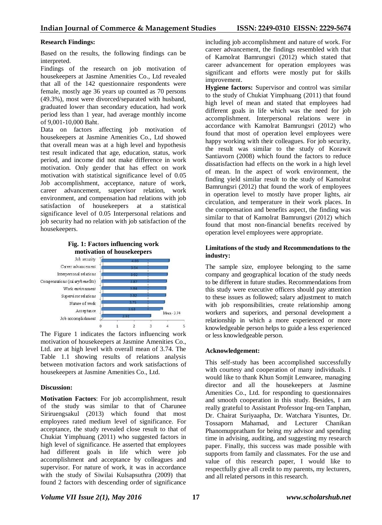# **Research Findings:**

Based on the results, the following findings can be interpreted.

Findings of the research on job motivation of housekeepers at Jasmine Amenities Co., Ltd revealed that all of the 142 questionnaire respondents were female, mostly age 36 years up counted as 70 persons (49.3%), most were divorced/separated with husband, graduated lower than secondary education, had work period less than 1 year, had average monthly income of 9,001-10,000 Baht.

Data on factors affecting job motivation of housekeepers at Jasmine Amenities Co., Ltd showed that overall mean was at a high level and hypothesis test result indicated that age, education, status, work period, and income did not make difference in work motivation. Only gender that has effect on work motivation with statistical significance level of 0.05 Job accomplishment, acceptance, nature of work, career advancement, supervisor relation, work environment, and compensation had relations with job satisfaction of housekeepers at a statistical significance level of 0.05 Interpersonal relations and job security had no relation with job satisfaction of the housekeepers.





The Figure 1 indicates the factors influencing work motivation of housekeepers at Jasmine Amenities Co., Ltd. are at high level with overall mean of 3.74. The Table 1.1 showing results of relations analysis between motivation factors and work satisfactions of housekeepers at Jasmine Amenities Co., Ltd.

# **Discussion:**

**Motivation Factors**: For job accomplishment, result of the study was similar to that of Charunee Siriruengsakul (2013) which found that most employees rated medium level of significance. For acceptance, the study revealed close result to that of Chukiat Yimphuang (2011) who suggested factors in high level of significance. He asserted that employees had different goals in life which were job accomplishment and acceptance by colleagues and supervisor. For nature of work, it was in accordance with the study of Siwilai Kulsapsuthra (2009) that found 2 factors with descending order of significance

including job accomplishment and nature of work. For career advancement, the findings resembled with that of Kamolrat Bamrungsri (2012) which stated that career advancement for operation employees was significant and efforts were mostly put for skills improvement.

**Hygiene factors:** Supervisor and control was similar to the study of Chukiat Yimphuang (2011) that found high level of mean and stated that employees had different goals in life which was the need for job accomplishment. Interpersonal relations were in accordance with Kamolrat Bamrungsri (2012) who found that most of operation level employees were happy working with their colleagues. For job security, the result was similar to the study of Korawit Santiavorn (2008) which found the factors to reduce dissatisfaction had effects on the work in a high level of mean. In the aspect of work environment, the finding yield similar result to the study of Kamolrat Bamrungsri (2012) that found the work of employees in operation level to mostly have proper lights, air circulation, and temperature in their work places. In the compensation and benefits aspect, the finding was similar to that of Kamolrat Bamrungsri (2012) which found that most non-financial benefits received by operation level employees were appropriate.

# **Limitations of the study and Recommendations to the industry:**

The sample size, employee belonging to the same company and geographical location of the study needs to be different in future studies. Recommendations from this study were executive officers should pay attention to these issues as followed; salary adjustment to match with job responsibilities, create relationship among workers and superiors, and personal development a relationship in which a more experienced or more knowledgeable person helps to guide a less experienced or less knowledgeable person.

# **Acknowledgement:**

This self-study has been accomplished successfully with courtesy and cooperation of many individuals. I would like to thank Khun Somjit Lenwaree, managing director and all the housekeepers at Jasmine Amenities Co., Ltd. for responding to questionnaires and smooth cooperation in this study. Besides, I am really grateful to Assistant Professor Ing-orn Tanphan, Dr. Chairat Suriyaapha, Dr. Watchara Yisuntes, Dr. Tossaporn Mahamad, and Lecturer Chanikan Phanomuppratham for being my advisor and spending time in advising, auditing, and suggesting my research paper. Finally, this success was made possible with supports from family and classmates. For the use and value of this research paper, I would like to respectfully give all credit to my parents, my lecturers, and all related persons in this research.